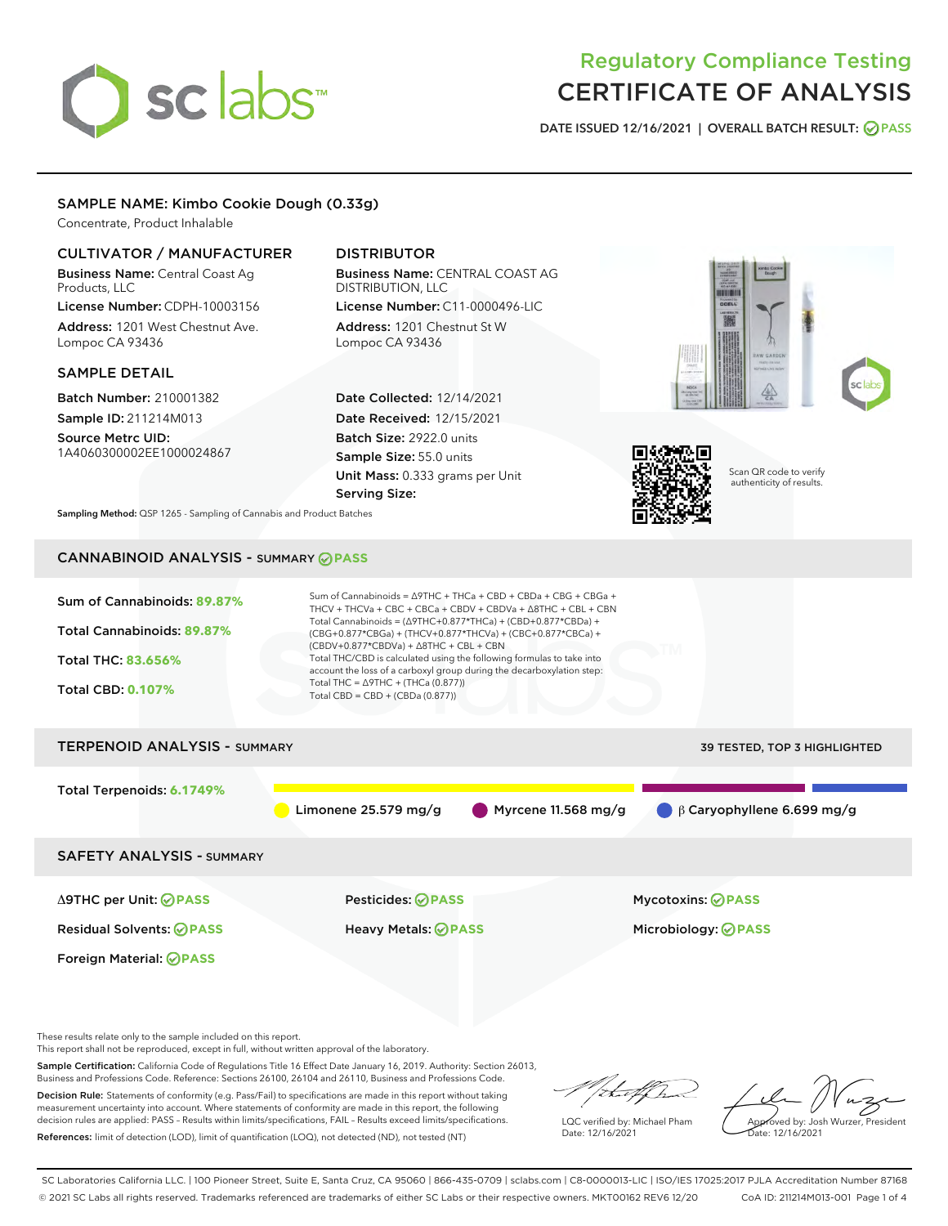# sclabs<sup>\*</sup>

# Regulatory Compliance Testing CERTIFICATE OF ANALYSIS

DATE ISSUED 12/16/2021 | OVERALL BATCH RESULT: @ PASS

# SAMPLE NAME: Kimbo Cookie Dough (0.33g)

Concentrate, Product Inhalable

### CULTIVATOR / MANUFACTURER

Business Name: Central Coast Ag Products, LLC License Number: CDPH-10003156

Address: 1201 West Chestnut Ave. Lompoc CA 93436

#### SAMPLE DETAIL

Batch Number: 210001382 Sample ID: 211214M013

Source Metrc UID: 1A4060300002EE1000024867

# DISTRIBUTOR

Business Name: CENTRAL COAST AG DISTRIBUTION, LLC License Number: C11-0000496-LIC

Address: 1201 Chestnut St W Lompoc CA 93436

Date Collected: 12/14/2021 Date Received: 12/15/2021 Batch Size: 2922.0 units Sample Size: 55.0 units Unit Mass: 0.333 grams per Unit Serving Size:





Scan QR code to verify authenticity of results.

Sampling Method: QSP 1265 - Sampling of Cannabis and Product Batches

# CANNABINOID ANALYSIS - SUMMARY **PASS**



These results relate only to the sample included on this report.

This report shall not be reproduced, except in full, without written approval of the laboratory.

Sample Certification: California Code of Regulations Title 16 Effect Date January 16, 2019. Authority: Section 26013, Business and Professions Code. Reference: Sections 26100, 26104 and 26110, Business and Professions Code.

Decision Rule: Statements of conformity (e.g. Pass/Fail) to specifications are made in this report without taking measurement uncertainty into account. Where statements of conformity are made in this report, the following decision rules are applied: PASS – Results within limits/specifications, FAIL – Results exceed limits/specifications. References: limit of detection (LOD), limit of quantification (LOQ), not detected (ND), not tested (NT)

that f(ha

LQC verified by: Michael Pham Date: 12/16/2021

Approved by: Josh Wurzer, President Date: 12/16/2021

SC Laboratories California LLC. | 100 Pioneer Street, Suite E, Santa Cruz, CA 95060 | 866-435-0709 | sclabs.com | C8-0000013-LIC | ISO/IES 17025:2017 PJLA Accreditation Number 87168 © 2021 SC Labs all rights reserved. Trademarks referenced are trademarks of either SC Labs or their respective owners. MKT00162 REV6 12/20 CoA ID: 211214M013-001 Page 1 of 4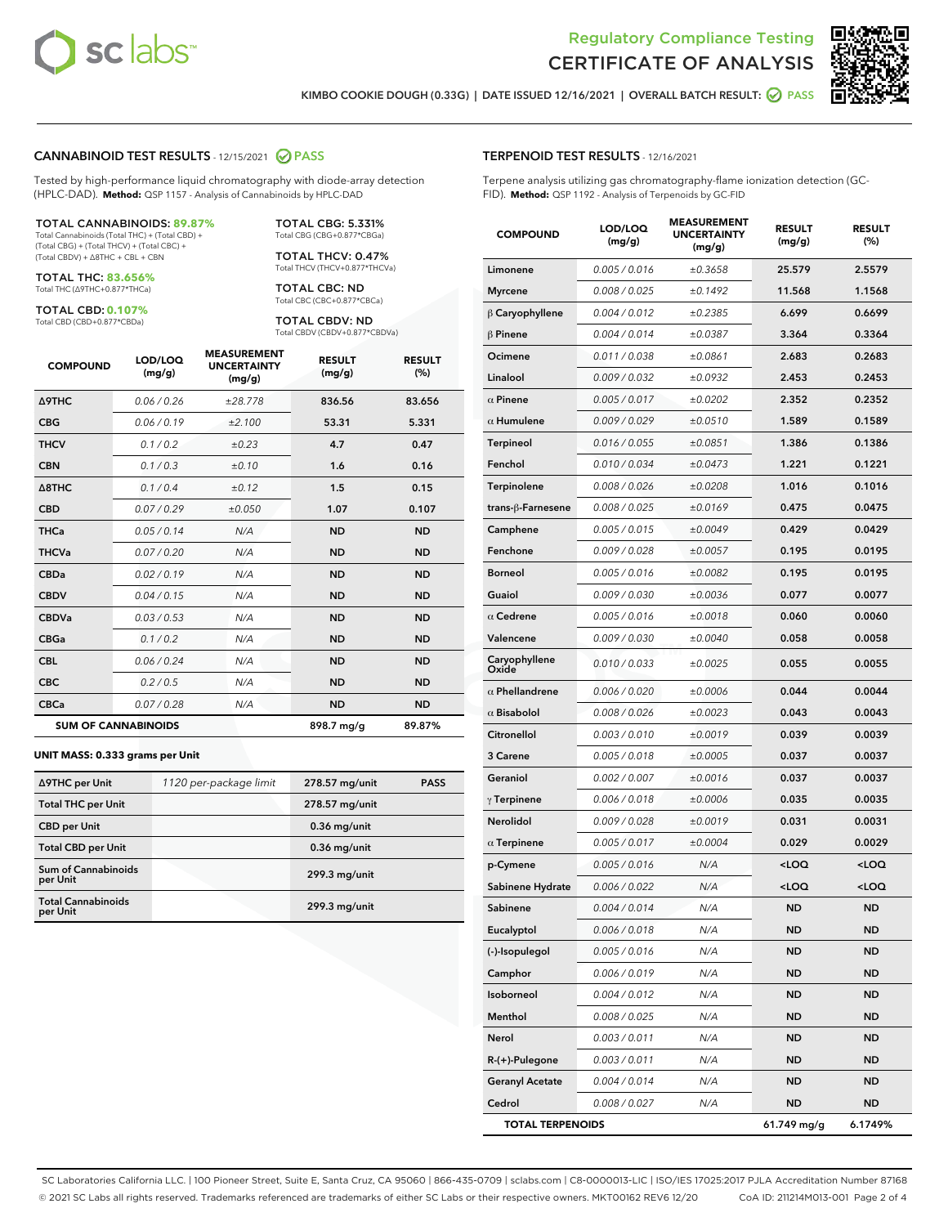



KIMBO COOKIE DOUGH (0.33G) | DATE ISSUED 12/16/2021 | OVERALL BATCH RESULT: **⊘** PASS

#### CANNABINOID TEST RESULTS - 12/15/2021 2 PASS

Tested by high-performance liquid chromatography with diode-array detection (HPLC-DAD). **Method:** QSP 1157 - Analysis of Cannabinoids by HPLC-DAD

#### TOTAL CANNABINOIDS: **89.87%**

Total Cannabinoids (Total THC) + (Total CBD) + (Total CBG) + (Total THCV) + (Total CBC) + (Total CBDV) + ∆8THC + CBL + CBN

TOTAL THC: **83.656%** Total THC (∆9THC+0.877\*THCa)

TOTAL CBD: **0.107%**

Total CBD (CBD+0.877\*CBDa)

TOTAL CBG: 5.331% Total CBG (CBG+0.877\*CBGa)

TOTAL THCV: 0.47% Total THCV (THCV+0.877\*THCVa)

TOTAL CBC: ND Total CBC (CBC+0.877\*CBCa)

TOTAL CBDV: ND Total CBDV (CBDV+0.877\*CBDVa)

| <b>COMPOUND</b>  | LOD/LOQ<br>(mg/g)          | <b>MEASUREMENT</b><br><b>UNCERTAINTY</b><br>(mg/g) | <b>RESULT</b><br>(mg/g) | <b>RESULT</b><br>(%) |
|------------------|----------------------------|----------------------------------------------------|-------------------------|----------------------|
| <b>A9THC</b>     | 0.06 / 0.26                | ±28.778                                            | 836.56                  | 83.656               |
| <b>CBG</b>       | 0.06/0.19                  | ±2.100                                             | 53.31                   | 5.331                |
| <b>THCV</b>      | 0.1/0.2                    | ±0.23                                              | 4.7                     | 0.47                 |
| <b>CBN</b>       | 0.1/0.3                    | ±0.10                                              | 1.6                     | 0.16                 |
| $\triangle$ 8THC | 0.1/0.4                    | ±0.12                                              | 1.5                     | 0.15                 |
| <b>CBD</b>       | 0.07/0.29                  | ±0.050                                             | 1.07                    | 0.107                |
| <b>THCa</b>      | 0.05 / 0.14                | N/A                                                | <b>ND</b>               | <b>ND</b>            |
| <b>THCVa</b>     | 0.07/0.20                  | N/A                                                | <b>ND</b>               | <b>ND</b>            |
| <b>CBDa</b>      | 0.02/0.19                  | N/A                                                | <b>ND</b>               | <b>ND</b>            |
| <b>CBDV</b>      | 0.04 / 0.15                | N/A                                                | <b>ND</b>               | <b>ND</b>            |
| <b>CBDVa</b>     | 0.03/0.53                  | N/A                                                | <b>ND</b>               | <b>ND</b>            |
| <b>CBGa</b>      | 0.1/0.2                    | N/A                                                | <b>ND</b>               | <b>ND</b>            |
| <b>CBL</b>       | 0.06 / 0.24                | N/A                                                | <b>ND</b>               | <b>ND</b>            |
| <b>CBC</b>       | 0.2 / 0.5                  | N/A                                                | <b>ND</b>               | <b>ND</b>            |
| <b>CBCa</b>      | 0.07 / 0.28                | N/A                                                | <b>ND</b>               | <b>ND</b>            |
|                  | <b>SUM OF CANNABINOIDS</b> |                                                    | 898.7 mg/g              | 89.87%               |

#### **UNIT MASS: 0.333 grams per Unit**

| ∆9THC per Unit                         | 1120 per-package limit | 278.57 mg/unit  | <b>PASS</b> |
|----------------------------------------|------------------------|-----------------|-------------|
| <b>Total THC per Unit</b>              |                        | 278.57 mg/unit  |             |
| <b>CBD per Unit</b>                    |                        | $0.36$ mg/unit  |             |
| <b>Total CBD per Unit</b>              |                        | $0.36$ mg/unit  |             |
| <b>Sum of Cannabinoids</b><br>per Unit |                        | 299.3 mg/unit   |             |
| <b>Total Cannabinoids</b><br>per Unit  |                        | $299.3$ mg/unit |             |

| <b>COMPOUND</b>         | LOD/LOQ<br>(mg/g) | <b>MEASUREMENT</b><br><b>UNCERTAINTY</b><br>(mg/g) | <b>RESULT</b><br>(mg/g)                         | <b>RESULT</b><br>(%) |
|-------------------------|-------------------|----------------------------------------------------|-------------------------------------------------|----------------------|
| Limonene                | 0.005 / 0.016     | ±0.3658                                            | 25.579                                          | 2.5579               |
| <b>Myrcene</b>          | 0.008 / 0.025     | ±0.1492                                            | 11.568                                          | 1.1568               |
| $\beta$ Caryophyllene   | 0.004 / 0.012     | ±0.2385                                            | 6.699                                           | 0.6699               |
| $\beta$ Pinene          | 0.004 / 0.014     | ±0.0387                                            | 3.364                                           | 0.3364               |
| Ocimene                 | 0.011 / 0.038     | ±0.0861                                            | 2.683                                           | 0.2683               |
| Linalool                | 0.009/0.032       | ±0.0932                                            | 2.453                                           | 0.2453               |
| $\alpha$ Pinene         | 0.005 / 0.017     | ±0.0202                                            | 2.352                                           | 0.2352               |
| $\alpha$ Humulene       | 0.009 / 0.029     | ±0.0510                                            | 1.589                                           | 0.1589               |
| Terpineol               | 0.016 / 0.055     | ±0.0851                                            | 1.386                                           | 0.1386               |
| Fenchol                 | 0.010 / 0.034     | ±0.0473                                            | 1.221                                           | 0.1221               |
| Terpinolene             | 0.008 / 0.026     | ±0.0208                                            | 1.016                                           | 0.1016               |
| trans-ß-Farnesene       | 0.008 / 0.025     | ±0.0169                                            | 0.475                                           | 0.0475               |
| Camphene                | 0.005 / 0.015     | ±0.0049                                            | 0.429                                           | 0.0429               |
| Fenchone                | 0.009 / 0.028     | ±0.0057                                            | 0.195                                           | 0.0195               |
| <b>Borneol</b>          | 0.005 / 0.016     | ±0.0082                                            | 0.195                                           | 0.0195               |
| Guaiol                  | 0.009 / 0.030     | ±0.0036                                            | 0.077                                           | 0.0077               |
| $\alpha$ Cedrene        | 0.005 / 0.016     | ±0.0018                                            | 0.060                                           | 0.0060               |
| Valencene               | 0.009 / 0.030     | ±0.0040                                            | 0.058                                           | 0.0058               |
| Caryophyllene<br>Oxide  | 0.010 / 0.033     | ±0.0025                                            | 0.055                                           | 0.0055               |
| $\alpha$ Phellandrene   | 0.006 / 0.020     | ±0.0006                                            | 0.044                                           | 0.0044               |
| $\alpha$ Bisabolol      | 0.008 / 0.026     | ±0.0023                                            | 0.043                                           | 0.0043               |
| Citronellol             | 0.003 / 0.010     | ±0.0019                                            | 0.039                                           | 0.0039               |
| 3 Carene                | 0.005 / 0.018     | ±0.0005                                            | 0.037                                           | 0.0037               |
| Geraniol                | 0.002 / 0.007     | ±0.0016                                            | 0.037                                           | 0.0037               |
| $\gamma$ Terpinene      | 0.006 / 0.018     | ±0.0006                                            | 0.035                                           | 0.0035               |
| Nerolidol               | 0.009 / 0.028     | ±0.0019                                            | 0.031                                           | 0.0031               |
| $\alpha$ Terpinene      | 0.005 / 0.017     | ±0.0004                                            | 0.029                                           | 0.0029               |
| p-Cymene                | 0.005 / 0.016     | N/A                                                | <loq< th=""><th><loq< th=""></loq<></th></loq<> | <loq< th=""></loq<>  |
| Sabinene Hydrate        | 0.006 / 0.022     | N/A                                                | <loq< th=""><th><loq< th=""></loq<></th></loq<> | <loq< th=""></loq<>  |
| Sabinene                | 0.004 / 0.014     | N/A                                                | ND                                              | <b>ND</b>            |
| Eucalyptol              | 0.006 / 0.018     | N/A                                                | ND                                              | ND                   |
| (-)-Isopulegol          | 0.005 / 0.016     | N/A                                                | ND                                              | ND                   |
| Camphor                 | 0.006 / 0.019     | N/A                                                | ND                                              | ND                   |
| Isoborneol              | 0.004 / 0.012     | N/A                                                | ND                                              | ND                   |
| Menthol                 | 0.008 / 0.025     | N/A                                                | ND                                              | ND                   |
| Nerol                   | 0.003 / 0.011     | N/A                                                | ND                                              | ND                   |
| R-(+)-Pulegone          | 0.003 / 0.011     | N/A                                                | ND                                              | ND                   |
| <b>Geranyl Acetate</b>  | 0.004 / 0.014     | N/A                                                | ND                                              | ND                   |
| Cedrol                  | 0.008 / 0.027     | N/A                                                | ND                                              | ND                   |
| <b>TOTAL TERPENOIDS</b> |                   |                                                    | 61.749 mg/g                                     | 6.1749%              |

SC Laboratories California LLC. | 100 Pioneer Street, Suite E, Santa Cruz, CA 95060 | 866-435-0709 | sclabs.com | C8-0000013-LIC | ISO/IES 17025:2017 PJLA Accreditation Number 87168 © 2021 SC Labs all rights reserved. Trademarks referenced are trademarks of either SC Labs or their respective owners. MKT00162 REV6 12/20 CoA ID: 211214M013-001 Page 2 of 4

# TERPENOID TEST RESULTS - 12/16/2021

Terpene analysis utilizing gas chromatography-flame ionization detection (GC-FID). **Method:** QSP 1192 - Analysis of Terpenoids by GC-FID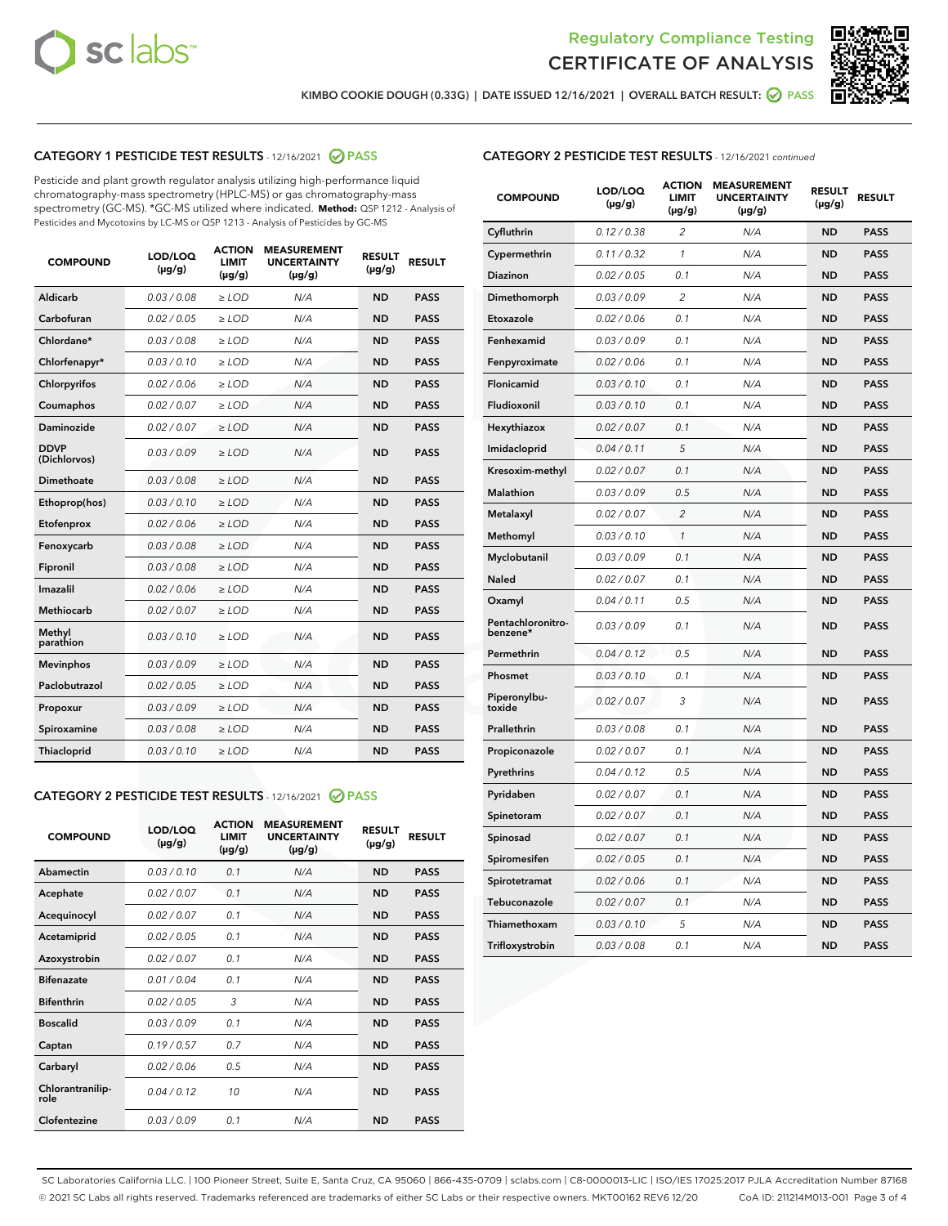



KIMBO COOKIE DOUGH (0.33G) | DATE ISSUED 12/16/2021 | OVERALL BATCH RESULT: @ PASS

# CATEGORY 1 PESTICIDE TEST RESULTS - 12/16/2021 2 PASS

Pesticide and plant growth regulator analysis utilizing high-performance liquid chromatography-mass spectrometry (HPLC-MS) or gas chromatography-mass spectrometry (GC-MS). \*GC-MS utilized where indicated. **Method:** QSP 1212 - Analysis of Pesticides and Mycotoxins by LC-MS or QSP 1213 - Analysis of Pesticides by GC-MS

| <b>COMPOUND</b>             | LOD/LOQ<br>$(\mu g/g)$ | <b>ACTION</b><br><b>LIMIT</b><br>$(\mu q/q)$ | <b>MEASUREMENT</b><br><b>UNCERTAINTY</b><br>$(\mu g/g)$ | <b>RESULT</b><br>$(\mu g/g)$ | <b>RESULT</b> |
|-----------------------------|------------------------|----------------------------------------------|---------------------------------------------------------|------------------------------|---------------|
| Aldicarb                    | 0.03 / 0.08            | $\ge$ LOD                                    | N/A                                                     | <b>ND</b>                    | <b>PASS</b>   |
| Carbofuran                  | 0.02 / 0.05            | $\ge$ LOD                                    | N/A                                                     | <b>ND</b>                    | <b>PASS</b>   |
| Chlordane*                  | 0.03 / 0.08            | $\ge$ LOD                                    | N/A                                                     | <b>ND</b>                    | <b>PASS</b>   |
| Chlorfenapyr*               | 0.03/0.10              | $\ge$ LOD                                    | N/A                                                     | <b>ND</b>                    | <b>PASS</b>   |
| Chlorpyrifos                | 0.02 / 0.06            | $\ge$ LOD                                    | N/A                                                     | <b>ND</b>                    | <b>PASS</b>   |
| Coumaphos                   | 0.02 / 0.07            | $\ge$ LOD                                    | N/A                                                     | <b>ND</b>                    | <b>PASS</b>   |
| Daminozide                  | 0.02 / 0.07            | $\ge$ LOD                                    | N/A                                                     | <b>ND</b>                    | <b>PASS</b>   |
| <b>DDVP</b><br>(Dichlorvos) | 0.03/0.09              | $\ge$ LOD                                    | N/A                                                     | <b>ND</b>                    | <b>PASS</b>   |
| Dimethoate                  | 0.03 / 0.08            | $\ge$ LOD                                    | N/A                                                     | <b>ND</b>                    | <b>PASS</b>   |
| Ethoprop(hos)               | 0.03/0.10              | $\ge$ LOD                                    | N/A                                                     | <b>ND</b>                    | <b>PASS</b>   |
| Etofenprox                  | 0.02/0.06              | $>$ LOD                                      | N/A                                                     | <b>ND</b>                    | <b>PASS</b>   |
| Fenoxycarb                  | 0.03 / 0.08            | $\ge$ LOD                                    | N/A                                                     | <b>ND</b>                    | <b>PASS</b>   |
| Fipronil                    | 0.03/0.08              | $>$ LOD                                      | N/A                                                     | <b>ND</b>                    | <b>PASS</b>   |
| Imazalil                    | 0.02 / 0.06            | $\ge$ LOD                                    | N/A                                                     | <b>ND</b>                    | <b>PASS</b>   |
| Methiocarb                  | 0.02 / 0.07            | $\ge$ LOD                                    | N/A                                                     | <b>ND</b>                    | <b>PASS</b>   |
| Methyl<br>parathion         | 0.03/0.10              | $>$ LOD                                      | N/A                                                     | <b>ND</b>                    | <b>PASS</b>   |
| <b>Mevinphos</b>            | 0.03/0.09              | $>$ LOD                                      | N/A                                                     | <b>ND</b>                    | <b>PASS</b>   |
| Paclobutrazol               | 0.02 / 0.05            | $>$ LOD                                      | N/A                                                     | <b>ND</b>                    | <b>PASS</b>   |
| Propoxur                    | 0.03/0.09              | $\ge$ LOD                                    | N/A                                                     | <b>ND</b>                    | <b>PASS</b>   |
| Spiroxamine                 | 0.03 / 0.08            | $\ge$ LOD                                    | N/A                                                     | <b>ND</b>                    | <b>PASS</b>   |
| Thiacloprid                 | 0.03/0.10              | $\ge$ LOD                                    | N/A                                                     | <b>ND</b>                    | <b>PASS</b>   |

#### CATEGORY 2 PESTICIDE TEST RESULTS - 12/16/2021 @ PASS

| <b>COMPOUND</b>          | LOD/LOQ<br>$(\mu g/g)$ | <b>ACTION</b><br><b>LIMIT</b><br>$(\mu g/g)$ | <b>MEASUREMENT</b><br><b>UNCERTAINTY</b><br>$(\mu g/g)$ | <b>RESULT</b><br>$(\mu g/g)$ | <b>RESULT</b> |
|--------------------------|------------------------|----------------------------------------------|---------------------------------------------------------|------------------------------|---------------|
| Abamectin                | 0.03/0.10              | 0.1                                          | N/A                                                     | <b>ND</b>                    | <b>PASS</b>   |
| Acephate                 | 0.02/0.07              | 0.1                                          | N/A                                                     | <b>ND</b>                    | <b>PASS</b>   |
| Acequinocyl              | 0.02/0.07              | 0.1                                          | N/A                                                     | <b>ND</b>                    | <b>PASS</b>   |
| Acetamiprid              | 0.02/0.05              | 0.1                                          | N/A                                                     | <b>ND</b>                    | <b>PASS</b>   |
| Azoxystrobin             | 0.02/0.07              | 0.1                                          | N/A                                                     | <b>ND</b>                    | <b>PASS</b>   |
| <b>Bifenazate</b>        | 0.01/0.04              | 0.1                                          | N/A                                                     | <b>ND</b>                    | <b>PASS</b>   |
| <b>Bifenthrin</b>        | 0.02 / 0.05            | 3                                            | N/A                                                     | <b>ND</b>                    | <b>PASS</b>   |
| <b>Boscalid</b>          | 0.03/0.09              | 0.1                                          | N/A                                                     | <b>ND</b>                    | <b>PASS</b>   |
| Captan                   | 0.19/0.57              | 0.7                                          | N/A                                                     | <b>ND</b>                    | <b>PASS</b>   |
| Carbaryl                 | 0.02/0.06              | 0.5                                          | N/A                                                     | <b>ND</b>                    | <b>PASS</b>   |
| Chlorantranilip-<br>role | 0.04/0.12              | 10                                           | N/A                                                     | <b>ND</b>                    | <b>PASS</b>   |
| Clofentezine             | 0.03/0.09              | 0.1                                          | N/A                                                     | <b>ND</b>                    | <b>PASS</b>   |

# CATEGORY 2 PESTICIDE TEST RESULTS - 12/16/2021 continued

| <b>COMPOUND</b>               | LOD/LOQ<br>(µg/g) | <b>ACTION</b><br><b>LIMIT</b><br>$(\mu g/g)$ | <b>MEASUREMENT</b><br><b>UNCERTAINTY</b><br>$(\mu g/g)$ | <b>RESULT</b><br>(µg/g) | <b>RESULT</b> |
|-------------------------------|-------------------|----------------------------------------------|---------------------------------------------------------|-------------------------|---------------|
| Cyfluthrin                    | 0.12 / 0.38       | $\overline{c}$                               | N/A                                                     | ND                      | <b>PASS</b>   |
| Cypermethrin                  | 0.11 / 0.32       | $\mathcal{I}$                                | N/A                                                     | ND                      | PASS          |
| <b>Diazinon</b>               | 0.02 / 0.05       | 0.1                                          | N/A                                                     | <b>ND</b>               | <b>PASS</b>   |
| Dimethomorph                  | 0.03 / 0.09       | 2                                            | N/A                                                     | ND                      | PASS          |
| Etoxazole                     | 0.02 / 0.06       | 0.1                                          | N/A                                                     | ND                      | <b>PASS</b>   |
| Fenhexamid                    | 0.03 / 0.09       | 0.1                                          | N/A                                                     | ND                      | <b>PASS</b>   |
| Fenpyroximate                 | 0.02 / 0.06       | 0.1                                          | N/A                                                     | <b>ND</b>               | <b>PASS</b>   |
| Flonicamid                    | 0.03 / 0.10       | 0.1                                          | N/A                                                     | ND                      | <b>PASS</b>   |
| Fludioxonil                   | 0.03 / 0.10       | 0.1                                          | N/A                                                     | ND                      | <b>PASS</b>   |
| Hexythiazox                   | 0.02 / 0.07       | 0.1                                          | N/A                                                     | ND                      | <b>PASS</b>   |
| Imidacloprid                  | 0.04 / 0.11       | 5                                            | N/A                                                     | ND                      | <b>PASS</b>   |
| Kresoxim-methyl               | 0.02 / 0.07       | 0.1                                          | N/A                                                     | ND                      | <b>PASS</b>   |
| Malathion                     | 0.03 / 0.09       | 0.5                                          | N/A                                                     | ND                      | <b>PASS</b>   |
| Metalaxyl                     | 0.02 / 0.07       | $\overline{c}$                               | N/A                                                     | ND                      | <b>PASS</b>   |
| Methomyl                      | 0.03 / 0.10       | $\mathbf{1}$                                 | N/A                                                     | ND                      | <b>PASS</b>   |
| Myclobutanil                  | 0.03 / 0.09       | 0.1                                          | N/A                                                     | <b>ND</b>               | <b>PASS</b>   |
| Naled                         | 0.02 / 0.07       | 0.1                                          | N/A                                                     | ND                      | <b>PASS</b>   |
| Oxamyl                        | 0.04 / 0.11       | 0.5                                          | N/A                                                     | ND                      | PASS          |
| Pentachloronitro-<br>benzene* | 0.03 / 0.09       | 0.1                                          | N/A                                                     | ND                      | <b>PASS</b>   |
| Permethrin                    | 0.04 / 0.12       | 0.5                                          | N/A                                                     | ND                      | <b>PASS</b>   |
| Phosmet                       | 0.03 / 0.10       | 0.1                                          | N/A                                                     | ND                      | <b>PASS</b>   |
| Piperonylbu-<br>toxide        | 0.02 / 0.07       | 3                                            | N/A                                                     | <b>ND</b>               | <b>PASS</b>   |
| Prallethrin                   | 0.03 / 0.08       | 0.1                                          | N/A                                                     | ND                      | <b>PASS</b>   |
| Propiconazole                 | 0.02 / 0.07       | 0.1                                          | N/A                                                     | <b>ND</b>               | <b>PASS</b>   |
| Pyrethrins                    | 0.04 / 0.12       | 0.5                                          | N/A                                                     | ND                      | <b>PASS</b>   |
| Pyridaben                     | 0.02 / 0.07       | 0.1                                          | N/A                                                     | <b>ND</b>               | <b>PASS</b>   |
| Spinetoram                    | 0.02 / 0.07       | 0.1                                          | N/A                                                     | ND                      | <b>PASS</b>   |
| Spinosad                      | 0.02 / 0.07       | 0.1                                          | N/A                                                     | ND                      | <b>PASS</b>   |
| Spiromesifen                  | 0.02 / 0.05       | 0.1                                          | N/A                                                     | <b>ND</b>               | <b>PASS</b>   |
| Spirotetramat                 | 0.02 / 0.06       | 0.1                                          | N/A                                                     | ND                      | <b>PASS</b>   |
| Tebuconazole                  | 0.02 / 0.07       | 0.1                                          | N/A                                                     | ND                      | <b>PASS</b>   |
| Thiamethoxam                  | 0.03 / 0.10       | 5                                            | N/A                                                     | <b>ND</b>               | <b>PASS</b>   |
| Trifloxystrobin               | 0.03 / 0.08       | 0.1                                          | N/A                                                     | <b>ND</b>               | <b>PASS</b>   |

SC Laboratories California LLC. | 100 Pioneer Street, Suite E, Santa Cruz, CA 95060 | 866-435-0709 | sclabs.com | C8-0000013-LIC | ISO/IES 17025:2017 PJLA Accreditation Number 87168 © 2021 SC Labs all rights reserved. Trademarks referenced are trademarks of either SC Labs or their respective owners. MKT00162 REV6 12/20 CoA ID: 211214M013-001 Page 3 of 4